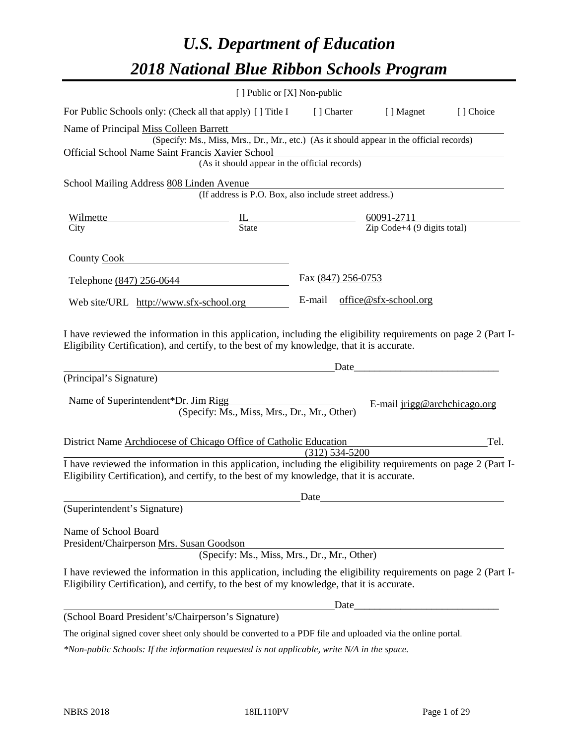# *U.S. Department of Education 2018 National Blue Ribbon Schools Program*

|                                                                                                                                                                                                                                                                                | [ ] Public or [X] Non-public                                                             |                                                                                                                                     |                              |           |
|--------------------------------------------------------------------------------------------------------------------------------------------------------------------------------------------------------------------------------------------------------------------------------|------------------------------------------------------------------------------------------|-------------------------------------------------------------------------------------------------------------------------------------|------------------------------|-----------|
| For Public Schools only: (Check all that apply) [ ] Title I [ ] Charter [ ] Magnet                                                                                                                                                                                             |                                                                                          |                                                                                                                                     |                              | [] Choice |
| Name of Principal Miss Colleen Barrett<br>Official School Name Saint Francis Xavier School                                                                                                                                                                                     | (Specify: Ms., Miss, Mrs., Dr., Mr., etc.) (As it should appear in the official records) | <u> 1989 - Johann Stoff, deutscher Stoffen und der Stoffen und der Stoffen und der Stoffen und der Stoffen und der</u>              |                              |           |
|                                                                                                                                                                                                                                                                                | (As it should appear in the official records)                                            |                                                                                                                                     |                              |           |
| School Mailing Address 808 Linden Avenue                                                                                                                                                                                                                                       | den Avenue<br>(If address is P.O. Box, also include street address.)                     |                                                                                                                                     |                              |           |
| Wilmette                                                                                                                                                                                                                                                                       |                                                                                          |                                                                                                                                     |                              |           |
| City                                                                                                                                                                                                                                                                           |                                                                                          | $\underline{\text{IL}}$ $\underline{\text{State}}$ $\underline{\text{G0091-2711}}$ $\underline{\text{Zip Code+4 (9 digits total)}}$ |                              |           |
| County Cook                                                                                                                                                                                                                                                                    |                                                                                          |                                                                                                                                     |                              |           |
| Telephone (847) 256-0644                                                                                                                                                                                                                                                       |                                                                                          | Fax (847) 256-0753                                                                                                                  |                              |           |
| Web site/URL http://www.sfx-school.org                                                                                                                                                                                                                                         |                                                                                          | E-mail office@sfx-school.org                                                                                                        |                              |           |
| I have reviewed the information in this application, including the eligibility requirements on page 2 (Part I-<br>Eligibility Certification), and certify, to the best of my knowledge, that it is accurate.<br>(Principal's Signature)<br>Name of Superintendent*Dr. Jim Rigg | (Specify: Ms., Miss, Mrs., Dr., Mr., Other)                                              | Date                                                                                                                                | E-mail jrigg@archchicago.org |           |
| District Name Archdiocese of Chicago Office of Catholic Education                                                                                                                                                                                                              |                                                                                          |                                                                                                                                     |                              | Tel.      |
| I have reviewed the information in this application, including the eligibility requirements on page 2 (Part I-<br>Eligibility Certification), and certify, to the best of my knowledge, that it is accurate.                                                                   |                                                                                          | $(312) 534 - 5200$                                                                                                                  |                              |           |
|                                                                                                                                                                                                                                                                                |                                                                                          | Date                                                                                                                                |                              |           |
| (Superintendent's Signature)                                                                                                                                                                                                                                                   |                                                                                          |                                                                                                                                     |                              |           |
| Name of School Board<br>President/Chairperson Mrs. Susan Goodson<br>I have reviewed the information in this application, including the eligibility requirements on page 2 (Part I-                                                                                             | (Specify: Ms., Miss, Mrs., Dr., Mr., Other)                                              |                                                                                                                                     |                              |           |
| Eligibility Certification), and certify, to the best of my knowledge, that it is accurate.                                                                                                                                                                                     |                                                                                          |                                                                                                                                     |                              |           |
| (School Board President's/Chairperson's Signature)                                                                                                                                                                                                                             |                                                                                          | Date_                                                                                                                               |                              |           |
|                                                                                                                                                                                                                                                                                |                                                                                          |                                                                                                                                     |                              |           |

The original signed cover sheet only should be converted to a PDF file and uploaded via the online portal.

*\*Non-public Schools: If the information requested is not applicable, write N/A in the space.*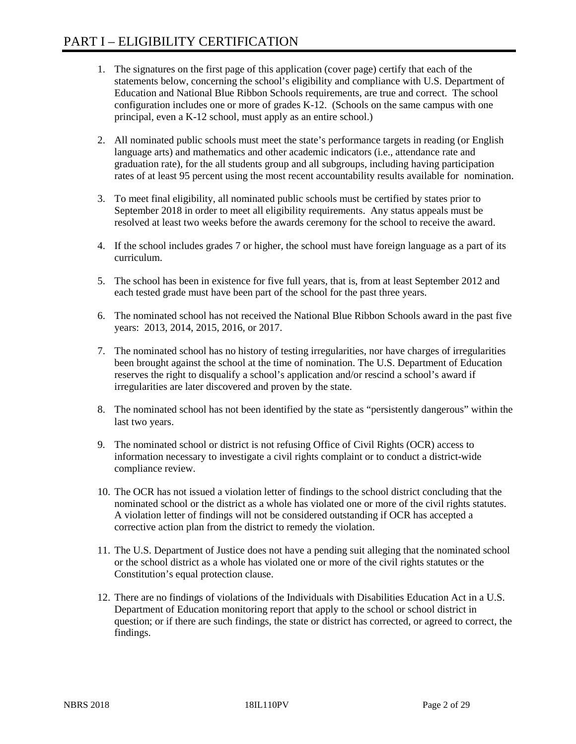- 1. The signatures on the first page of this application (cover page) certify that each of the statements below, concerning the school's eligibility and compliance with U.S. Department of Education and National Blue Ribbon Schools requirements, are true and correct. The school configuration includes one or more of grades K-12. (Schools on the same campus with one principal, even a K-12 school, must apply as an entire school.)
- 2. All nominated public schools must meet the state's performance targets in reading (or English language arts) and mathematics and other academic indicators (i.e., attendance rate and graduation rate), for the all students group and all subgroups, including having participation rates of at least 95 percent using the most recent accountability results available for nomination.
- 3. To meet final eligibility, all nominated public schools must be certified by states prior to September 2018 in order to meet all eligibility requirements. Any status appeals must be resolved at least two weeks before the awards ceremony for the school to receive the award.
- 4. If the school includes grades 7 or higher, the school must have foreign language as a part of its curriculum.
- 5. The school has been in existence for five full years, that is, from at least September 2012 and each tested grade must have been part of the school for the past three years.
- 6. The nominated school has not received the National Blue Ribbon Schools award in the past five years: 2013, 2014, 2015, 2016, or 2017.
- 7. The nominated school has no history of testing irregularities, nor have charges of irregularities been brought against the school at the time of nomination. The U.S. Department of Education reserves the right to disqualify a school's application and/or rescind a school's award if irregularities are later discovered and proven by the state.
- 8. The nominated school has not been identified by the state as "persistently dangerous" within the last two years.
- 9. The nominated school or district is not refusing Office of Civil Rights (OCR) access to information necessary to investigate a civil rights complaint or to conduct a district-wide compliance review.
- 10. The OCR has not issued a violation letter of findings to the school district concluding that the nominated school or the district as a whole has violated one or more of the civil rights statutes. A violation letter of findings will not be considered outstanding if OCR has accepted a corrective action plan from the district to remedy the violation.
- 11. The U.S. Department of Justice does not have a pending suit alleging that the nominated school or the school district as a whole has violated one or more of the civil rights statutes or the Constitution's equal protection clause.
- 12. There are no findings of violations of the Individuals with Disabilities Education Act in a U.S. Department of Education monitoring report that apply to the school or school district in question; or if there are such findings, the state or district has corrected, or agreed to correct, the findings.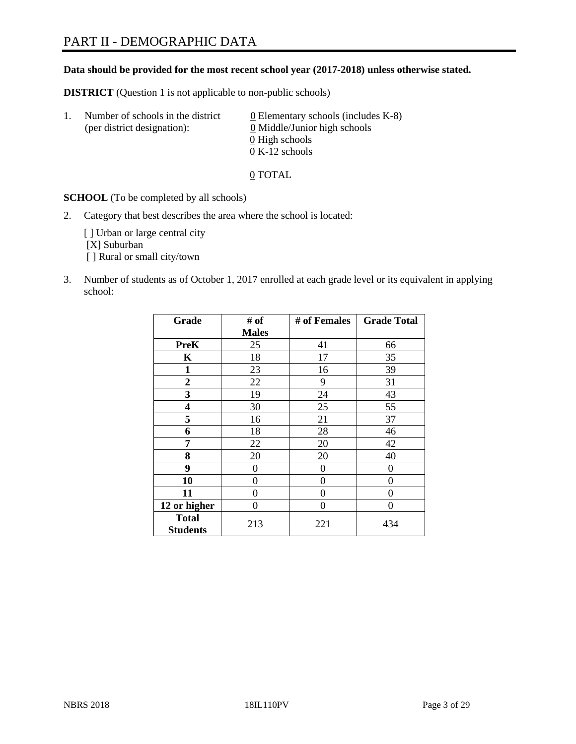# PART II - DEMOGRAPHIC DATA

#### **Data should be provided for the most recent school year (2017-2018) unless otherwise stated.**

**DISTRICT** (Question 1 is not applicable to non-public schools)

| $\perp$ . | Number of schools in the district<br>(per district designation): | 0 Elementary schools (includes K-8)<br>0 Middle/Junior high schools |
|-----------|------------------------------------------------------------------|---------------------------------------------------------------------|
|           |                                                                  | 0 High schools                                                      |
|           |                                                                  | $0 K-12$ schools                                                    |

0 TOTAL

**SCHOOL** (To be completed by all schools)

2. Category that best describes the area where the school is located:

[] Urban or large central city [X] Suburban [] Rural or small city/town

3. Number of students as of October 1, 2017 enrolled at each grade level or its equivalent in applying school:

| Grade           | # of           | # of Females | <b>Grade Total</b> |
|-----------------|----------------|--------------|--------------------|
|                 | <b>Males</b>   |              |                    |
| <b>PreK</b>     | 25             | 41           | 66                 |
| K               | 18             | 17           | 35                 |
| $\mathbf{1}$    | 23             | 16           | 39                 |
| 2               | 22             | 9            | 31                 |
| 3               | 19             | 24           | 43                 |
| 4               | 30             | 25           | 55                 |
| 5               | 16             | 21           | 37                 |
| 6               | 18             | 28           | 46                 |
| 7               | 22             | 20           | 42                 |
| 8               | 20             | 20           | 40                 |
| 9               | $\overline{0}$ | 0            | 0                  |
| 10              | 0              | 0            | 0                  |
| 11              | 0              | 0            | 0                  |
| 12 or higher    | 0              | 0            | 0                  |
| <b>Total</b>    | 213            | 221          | 434                |
| <b>Students</b> |                |              |                    |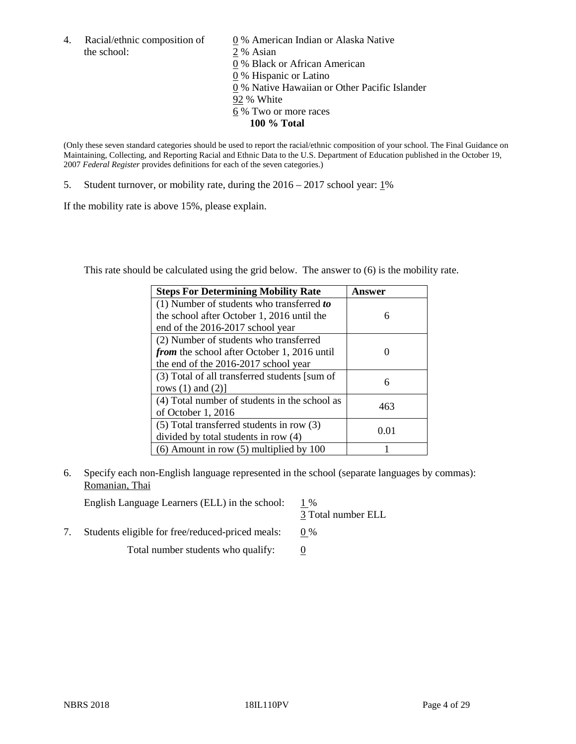the school: 2 % Asian

4. Racial/ethnic composition of  $\qquad 0\%$  American Indian or Alaska Native 0 % Black or African American 0 % Hispanic or Latino 0 % Native Hawaiian or Other Pacific Islander 92 % White 6 % Two or more races **100 % Total**

(Only these seven standard categories should be used to report the racial/ethnic composition of your school. The Final Guidance on Maintaining, Collecting, and Reporting Racial and Ethnic Data to the U.S. Department of Education published in the October 19, 2007 *Federal Register* provides definitions for each of the seven categories.)

5. Student turnover, or mobility rate, during the 2016 – 2017 school year: 1%

If the mobility rate is above 15%, please explain.

This rate should be calculated using the grid below. The answer to (6) is the mobility rate.

| <b>Steps For Determining Mobility Rate</b>         | Answer |
|----------------------------------------------------|--------|
| $(1)$ Number of students who transferred to        |        |
| the school after October 1, 2016 until the         | 6      |
| end of the 2016-2017 school year                   |        |
| (2) Number of students who transferred             |        |
| <i>from</i> the school after October 1, 2016 until |        |
| the end of the 2016-2017 school year               |        |
| (3) Total of all transferred students [sum of      |        |
| rows $(1)$ and $(2)$ ]                             | 6      |
| (4) Total number of students in the school as      |        |
| of October $1, 2016$                               | 463    |
| $(5)$ Total transferred students in row $(3)$      |        |
| divided by total students in row (4)               | 0.01   |
| $(6)$ Amount in row $(5)$ multiplied by 100        |        |

6. Specify each non-English language represented in the school (separate languages by commas): Romanian, Thai

English Language Learners (ELL) in the school:  $1\%$ 

3 Total number ELL

7. Students eligible for free/reduced-priced meals:  $0\%$ 

Total number students who qualify:  $\qquad 0$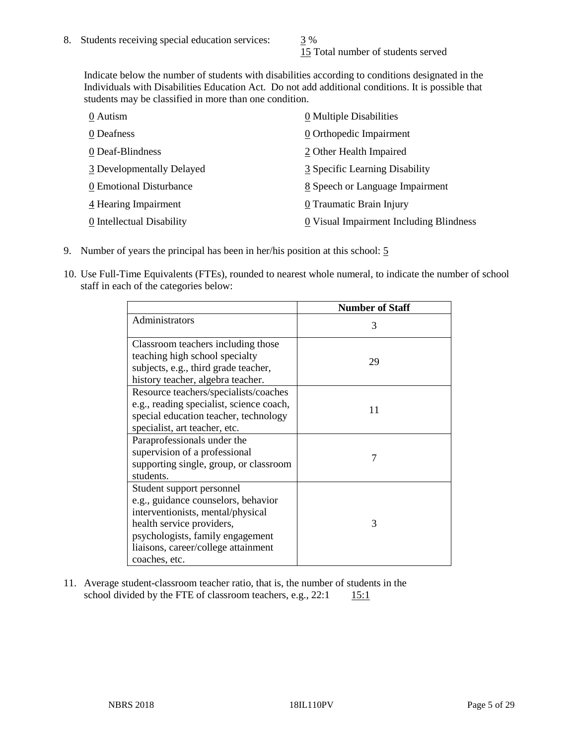15 Total number of students served

Indicate below the number of students with disabilities according to conditions designated in the Individuals with Disabilities Education Act. Do not add additional conditions. It is possible that students may be classified in more than one condition.

| 0 Autism                  | 0 Multiple Disabilities                 |
|---------------------------|-----------------------------------------|
| 0 Deafness                | 0 Orthopedic Impairment                 |
| 0 Deaf-Blindness          | 2 Other Health Impaired                 |
| 3 Developmentally Delayed | 3 Specific Learning Disability          |
| 0 Emotional Disturbance   | 8 Speech or Language Impairment         |
| 4 Hearing Impairment      | 0 Traumatic Brain Injury                |
| 0 Intellectual Disability | 0 Visual Impairment Including Blindness |

- 9. Number of years the principal has been in her/his position at this school: 5
- 10. Use Full-Time Equivalents (FTEs), rounded to nearest whole numeral, to indicate the number of school staff in each of the categories below:

|                                                                                                                                                                                                                                | <b>Number of Staff</b> |
|--------------------------------------------------------------------------------------------------------------------------------------------------------------------------------------------------------------------------------|------------------------|
| Administrators                                                                                                                                                                                                                 | 3                      |
| Classroom teachers including those<br>teaching high school specialty<br>subjects, e.g., third grade teacher,<br>history teacher, algebra teacher.                                                                              | 29                     |
| Resource teachers/specialists/coaches<br>e.g., reading specialist, science coach,<br>special education teacher, technology<br>specialist, art teacher, etc.                                                                    | 11                     |
| Paraprofessionals under the<br>supervision of a professional<br>supporting single, group, or classroom<br>students.                                                                                                            | 7                      |
| Student support personnel<br>e.g., guidance counselors, behavior<br>interventionists, mental/physical<br>health service providers,<br>psychologists, family engagement<br>liaisons, career/college attainment<br>coaches, etc. | 3                      |

11. Average student-classroom teacher ratio, that is, the number of students in the school divided by the FTE of classroom teachers, e.g.,  $22:1$  15:1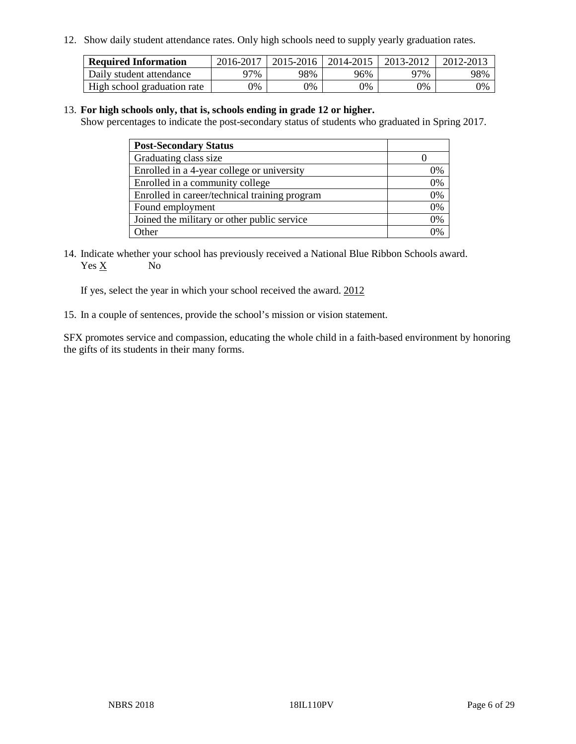12. Show daily student attendance rates. Only high schools need to supply yearly graduation rates.

| <b>Required Information</b> | 2016-2017 | $2015 - 2016$ | 2014-2015 | 2013-2012 | 2012-2013 |
|-----------------------------|-----------|---------------|-----------|-----------|-----------|
| Daily student attendance    | 97%       | 98%           | 96%       | ว7%       | 98%       |
| High school graduation rate | 0%        | 0%            | 0%        | 9%        | 0%        |

#### 13. **For high schools only, that is, schools ending in grade 12 or higher.**

Show percentages to indicate the post-secondary status of students who graduated in Spring 2017.

| <b>Post-Secondary Status</b>                  |              |
|-----------------------------------------------|--------------|
| Graduating class size                         |              |
| Enrolled in a 4-year college or university    | 0%           |
| Enrolled in a community college               | 0%           |
| Enrolled in career/technical training program | 0%           |
| Found employment                              | 0%           |
| Joined the military or other public service   | 0%           |
| Other                                         | $\gamma_{0}$ |

14. Indicate whether your school has previously received a National Blue Ribbon Schools award. Yes X No

If yes, select the year in which your school received the award. 2012

15. In a couple of sentences, provide the school's mission or vision statement.

SFX promotes service and compassion, educating the whole child in a faith-based environment by honoring the gifts of its students in their many forms.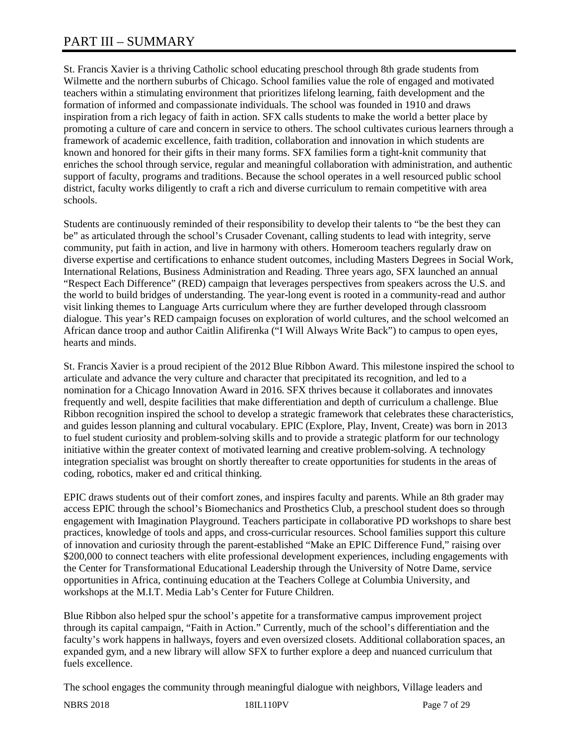# PART III – SUMMARY

St. Francis Xavier is a thriving Catholic school educating preschool through 8th grade students from Wilmette and the northern suburbs of Chicago. School families value the role of engaged and motivated teachers within a stimulating environment that prioritizes lifelong learning, faith development and the formation of informed and compassionate individuals. The school was founded in 1910 and draws inspiration from a rich legacy of faith in action. SFX calls students to make the world a better place by promoting a culture of care and concern in service to others. The school cultivates curious learners through a framework of academic excellence, faith tradition, collaboration and innovation in which students are known and honored for their gifts in their many forms. SFX families form a tight-knit community that enriches the school through service, regular and meaningful collaboration with administration, and authentic support of faculty, programs and traditions. Because the school operates in a well resourced public school district, faculty works diligently to craft a rich and diverse curriculum to remain competitive with area schools.

Students are continuously reminded of their responsibility to develop their talents to "be the best they can be" as articulated through the school's Crusader Covenant, calling students to lead with integrity, serve community, put faith in action, and live in harmony with others. Homeroom teachers regularly draw on diverse expertise and certifications to enhance student outcomes, including Masters Degrees in Social Work, International Relations, Business Administration and Reading. Three years ago, SFX launched an annual "Respect Each Difference" (RED) campaign that leverages perspectives from speakers across the U.S. and the world to build bridges of understanding. The year-long event is rooted in a community-read and author visit linking themes to Language Arts curriculum where they are further developed through classroom dialogue. This year's RED campaign focuses on exploration of world cultures, and the school welcomed an African dance troop and author Caitlin Alifirenka ("I Will Always Write Back") to campus to open eyes, hearts and minds.

St. Francis Xavier is a proud recipient of the 2012 Blue Ribbon Award. This milestone inspired the school to articulate and advance the very culture and character that precipitated its recognition, and led to a nomination for a Chicago Innovation Award in 2016. SFX thrives because it collaborates and innovates frequently and well, despite facilities that make differentiation and depth of curriculum a challenge. Blue Ribbon recognition inspired the school to develop a strategic framework that celebrates these characteristics, and guides lesson planning and cultural vocabulary. EPIC (Explore, Play, Invent, Create) was born in 2013 to fuel student curiosity and problem-solving skills and to provide a strategic platform for our technology initiative within the greater context of motivated learning and creative problem-solving. A technology integration specialist was brought on shortly thereafter to create opportunities for students in the areas of coding, robotics, maker ed and critical thinking.

EPIC draws students out of their comfort zones, and inspires faculty and parents. While an 8th grader may access EPIC through the school's Biomechanics and Prosthetics Club, a preschool student does so through engagement with Imagination Playground. Teachers participate in collaborative PD workshops to share best practices, knowledge of tools and apps, and cross-curricular resources. School families support this culture of innovation and curiosity through the parent-established "Make an EPIC Difference Fund," raising over \$200,000 to connect teachers with elite professional development experiences, including engagements with the Center for Transformational Educational Leadership through the University of Notre Dame, service opportunities in Africa, continuing education at the Teachers College at Columbia University, and workshops at the M.I.T. Media Lab's Center for Future Children.

Blue Ribbon also helped spur the school's appetite for a transformative campus improvement project through its capital campaign, "Faith in Action." Currently, much of the school's differentiation and the faculty's work happens in hallways, foyers and even oversized closets. Additional collaboration spaces, an expanded gym, and a new library will allow SFX to further explore a deep and nuanced curriculum that fuels excellence.

The school engages the community through meaningful dialogue with neighbors, Village leaders and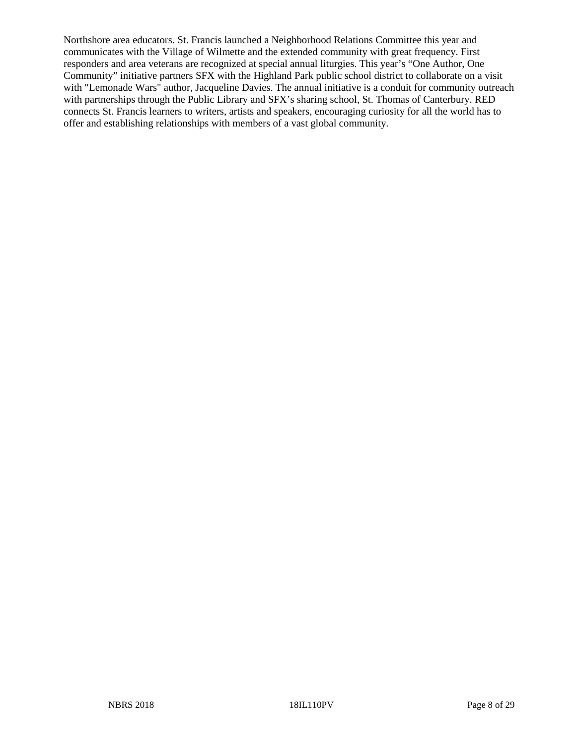Northshore area educators. St. Francis launched a Neighborhood Relations Committee this year and communicates with the Village of Wilmette and the extended community with great frequency. First responders and area veterans are recognized at special annual liturgies. This year's "One Author, One Community" initiative partners SFX with the Highland Park public school district to collaborate on a visit with "Lemonade Wars" author, Jacqueline Davies. The annual initiative is a conduit for community outreach with partnerships through the Public Library and SFX's sharing school, St. Thomas of Canterbury. RED connects St. Francis learners to writers, artists and speakers, encouraging curiosity for all the world has to offer and establishing relationships with members of a vast global community.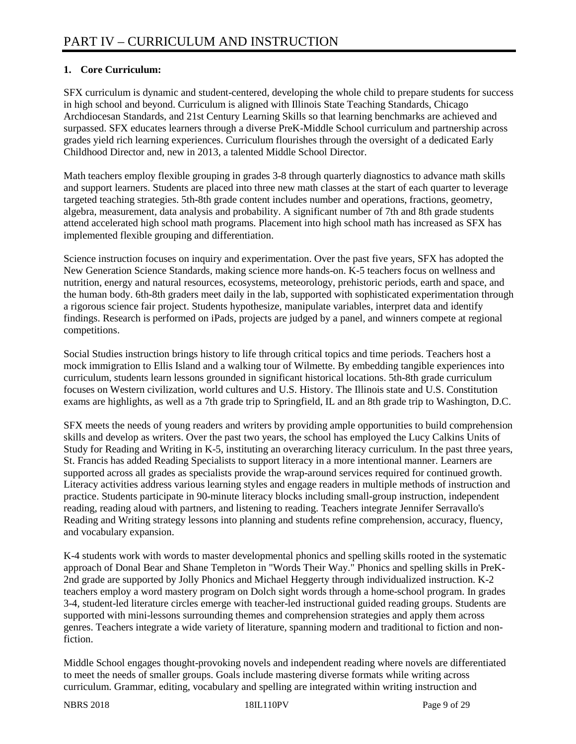# **1. Core Curriculum:**

SFX curriculum is dynamic and student-centered, developing the whole child to prepare students for success in high school and beyond. Curriculum is aligned with Illinois State Teaching Standards, Chicago Archdiocesan Standards, and 21st Century Learning Skills so that learning benchmarks are achieved and surpassed. SFX educates learners through a diverse PreK-Middle School curriculum and partnership across grades yield rich learning experiences. Curriculum flourishes through the oversight of a dedicated Early Childhood Director and, new in 2013, a talented Middle School Director.

Math teachers employ flexible grouping in grades 3-8 through quarterly diagnostics to advance math skills and support learners. Students are placed into three new math classes at the start of each quarter to leverage targeted teaching strategies. 5th-8th grade content includes number and operations, fractions, geometry, algebra, measurement, data analysis and probability. A significant number of 7th and 8th grade students attend accelerated high school math programs. Placement into high school math has increased as SFX has implemented flexible grouping and differentiation.

Science instruction focuses on inquiry and experimentation. Over the past five years, SFX has adopted the New Generation Science Standards, making science more hands-on.  $\overline{K}$ -5 teachers focus on wellness and nutrition, energy and natural resources, ecosystems, meteorology, prehistoric periods, earth and space, and the human body. 6th-8th graders meet daily in the lab, supported with sophisticated experimentation through a rigorous science fair project. Students hypothesize, manipulate variables, interpret data and identify findings. Research is performed on iPads, projects are judged by a panel, and winners compete at regional competitions.

Social Studies instruction brings history to life through critical topics and time periods. Teachers host a mock immigration to Ellis Island and a walking tour of Wilmette. By embedding tangible experiences into curriculum, students learn lessons grounded in significant historical locations. 5th-8th grade curriculum focuses on Western civilization, world cultures and U.S. History. The Illinois state and U.S. Constitution exams are highlights, as well as a 7th grade trip to Springfield, IL and an 8th grade trip to Washington, D.C.

SFX meets the needs of young readers and writers by providing ample opportunities to build comprehension skills and develop as writers. Over the past two years, the school has employed the Lucy Calkins Units of Study for Reading and Writing in K-5, instituting an overarching literacy curriculum. In the past three years, St. Francis has added Reading Specialists to support literacy in a more intentional manner. Learners are supported across all grades as specialists provide the wrap-around services required for continued growth. Literacy activities address various learning styles and engage readers in multiple methods of instruction and practice. Students participate in 90-minute literacy blocks including small-group instruction, independent reading, reading aloud with partners, and listening to reading. Teachers integrate Jennifer Serravallo's Reading and Writing strategy lessons into planning and students refine comprehension, accuracy, fluency, and vocabulary expansion.

K-4 students work with words to master developmental phonics and spelling skills rooted in the systematic approach of Donal Bear and Shane Templeton in "Words Their Way." Phonics and spelling skills in PreK-2nd grade are supported by Jolly Phonics and Michael Heggerty through individualized instruction. K-2 teachers employ a word mastery program on Dolch sight words through a home-school program. In grades 3-4, student-led literature circles emerge with teacher-led instructional guided reading groups. Students are supported with mini-lessons surrounding themes and comprehension strategies and apply them across genres. Teachers integrate a wide variety of literature, spanning modern and traditional to fiction and nonfiction.

Middle School engages thought-provoking novels and independent reading where novels are differentiated to meet the needs of smaller groups. Goals include mastering diverse formats while writing across curriculum. Grammar, editing, vocabulary and spelling are integrated within writing instruction and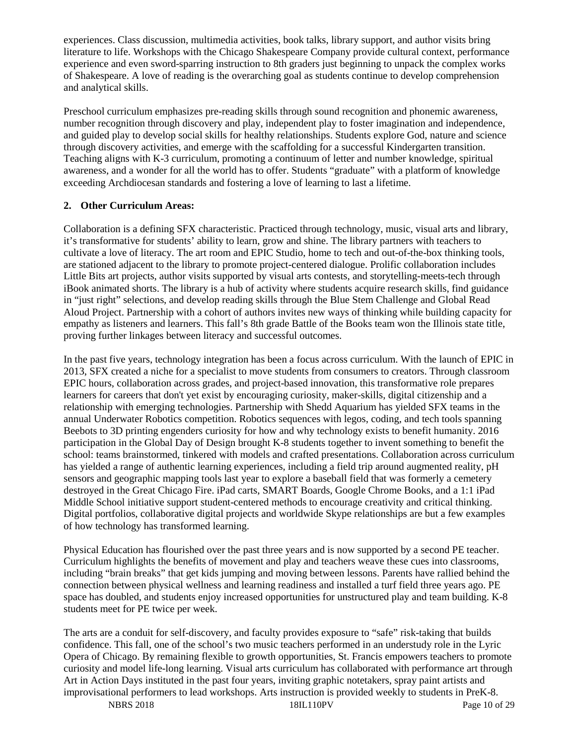experiences. Class discussion, multimedia activities, book talks, library support, and author visits bring literature to life. Workshops with the Chicago Shakespeare Company provide cultural context, performance experience and even sword-sparring instruction to 8th graders just beginning to unpack the complex works of Shakespeare. A love of reading is the overarching goal as students continue to develop comprehension and analytical skills.

Preschool curriculum emphasizes pre-reading skills through sound recognition and phonemic awareness, number recognition through discovery and play, independent play to foster imagination and independence, and guided play to develop social skills for healthy relationships. Students explore God, nature and science through discovery activities, and emerge with the scaffolding for a successful Kindergarten transition. Teaching aligns with K-3 curriculum, promoting a continuum of letter and number knowledge, spiritual awareness, and a wonder for all the world has to offer. Students "graduate" with a platform of knowledge exceeding Archdiocesan standards and fostering a love of learning to last a lifetime.

#### **2. Other Curriculum Areas:**

Collaboration is a defining SFX characteristic. Practiced through technology, music, visual arts and library, it's transformative for students' ability to learn, grow and shine. The library partners with teachers to cultivate a love of literacy. The art room and EPIC Studio, home to tech and out-of-the-box thinking tools, are stationed adjacent to the library to promote project-centered dialogue. Prolific collaboration includes Little Bits art projects, author visits supported by visual arts contests, and storytelling-meets-tech through iBook animated shorts. The library is a hub of activity where students acquire research skills, find guidance in "just right" selections, and develop reading skills through the Blue Stem Challenge and Global Read Aloud Project. Partnership with a cohort of authors invites new ways of thinking while building capacity for empathy as listeners and learners. This fall's 8th grade Battle of the Books team won the Illinois state title, proving further linkages between literacy and successful outcomes.

In the past five years, technology integration has been a focus across curriculum. With the launch of EPIC in 2013, SFX created a niche for a specialist to move students from consumers to creators. Through classroom EPIC hours, collaboration across grades, and project-based innovation, this transformative role prepares learners for careers that don't yet exist by encouraging curiosity, maker-skills, digital citizenship and a relationship with emerging technologies. Partnership with Shedd Aquarium has yielded SFX teams in the annual Underwater Robotics competition. Robotics sequences with legos, coding, and tech tools spanning Beebots to 3D printing engenders curiosity for how and why technology exists to benefit humanity. 2016 participation in the Global Day of Design brought K-8 students together to invent something to benefit the school: teams brainstormed, tinkered with models and crafted presentations. Collaboration across curriculum has yielded a range of authentic learning experiences, including a field trip around augmented reality, pH sensors and geographic mapping tools last year to explore a baseball field that was formerly a cemetery destroyed in the Great Chicago Fire. iPad carts, SMART Boards, Google Chrome Books, and a 1:1 iPad Middle School initiative support student-centered methods to encourage creativity and critical thinking. Digital portfolios, collaborative digital projects and worldwide Skype relationships are but a few examples of how technology has transformed learning.

Physical Education has flourished over the past three years and is now supported by a second PE teacher. Curriculum highlights the benefits of movement and play and teachers weave these cues into classrooms, including "brain breaks" that get kids jumping and moving between lessons. Parents have rallied behind the connection between physical wellness and learning readiness and installed a turf field three years ago. PE space has doubled, and students enjoy increased opportunities for unstructured play and team building. K-8 students meet for PE twice per week.

The arts are a conduit for self-discovery, and faculty provides exposure to "safe" risk-taking that builds confidence. This fall, one of the school's two music teachers performed in an understudy role in the Lyric Opera of Chicago. By remaining flexible to growth opportunities, St. Francis empowers teachers to promote curiosity and model life-long learning. Visual arts curriculum has collaborated with performance art through Art in Action Days instituted in the past four years, inviting graphic notetakers, spray paint artists and improvisational performers to lead workshops. Arts instruction is provided weekly to students in PreK-8.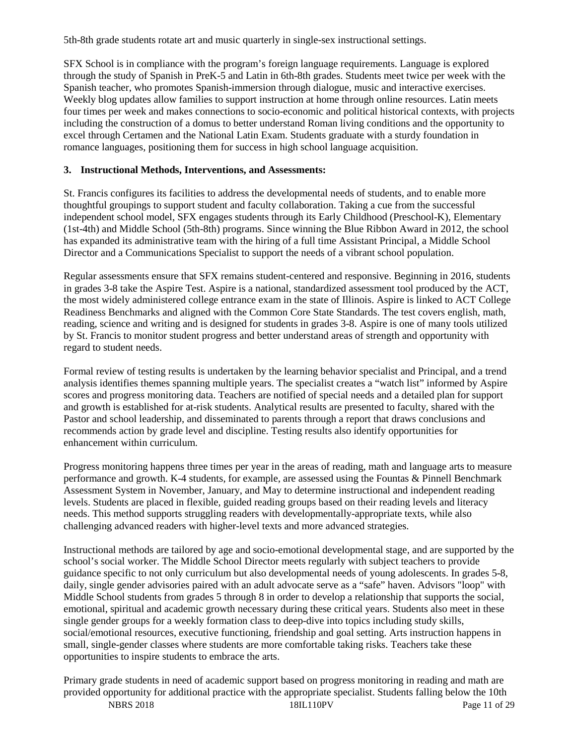5th-8th grade students rotate art and music quarterly in single-sex instructional settings.

SFX School is in compliance with the program's foreign language requirements. Language is explored through the study of Spanish in PreK-5 and Latin in 6th-8th grades. Students meet twice per week with the Spanish teacher, who promotes Spanish-immersion through dialogue, music and interactive exercises. Weekly blog updates allow families to support instruction at home through online resources. Latin meets four times per week and makes connections to socio-economic and political historical contexts, with projects including the construction of a domus to better understand Roman living conditions and the opportunity to excel through Certamen and the National Latin Exam. Students graduate with a sturdy foundation in romance languages, positioning them for success in high school language acquisition.

#### **3. Instructional Methods, Interventions, and Assessments:**

St. Francis configures its facilities to address the developmental needs of students, and to enable more thoughtful groupings to support student and faculty collaboration. Taking a cue from the successful independent school model, SFX engages students through its Early Childhood (Preschool-K), Elementary (1st-4th) and Middle School (5th-8th) programs. Since winning the Blue Ribbon Award in 2012, the school has expanded its administrative team with the hiring of a full time Assistant Principal, a Middle School Director and a Communications Specialist to support the needs of a vibrant school population.

Regular assessments ensure that SFX remains student-centered and responsive. Beginning in 2016, students in grades 3-8 take the Aspire Test. Aspire is a national, standardized assessment tool produced by the ACT, the most widely administered college entrance exam in the state of Illinois. Aspire is linked to ACT College Readiness Benchmarks and aligned with the Common Core State Standards. The test covers english, math, reading, science and writing and is designed for students in grades 3-8. Aspire is one of many tools utilized by St. Francis to monitor student progress and better understand areas of strength and opportunity with regard to student needs.

Formal review of testing results is undertaken by the learning behavior specialist and Principal, and a trend analysis identifies themes spanning multiple years. The specialist creates a "watch list" informed by Aspire scores and progress monitoring data. Teachers are notified of special needs and a detailed plan for support and growth is established for at-risk students. Analytical results are presented to faculty, shared with the Pastor and school leadership, and disseminated to parents through a report that draws conclusions and recommends action by grade level and discipline. Testing results also identify opportunities for enhancement within curriculum.

Progress monitoring happens three times per year in the areas of reading, math and language arts to measure performance and growth. K-4 students, for example, are assessed using the Fountas & Pinnell Benchmark Assessment System in November, January, and May to determine instructional and independent reading levels. Students are placed in flexible, guided reading groups based on their reading levels and literacy needs. This method supports struggling readers with developmentally-appropriate texts, while also challenging advanced readers with higher-level texts and more advanced strategies.

Instructional methods are tailored by age and socio-emotional developmental stage, and are supported by the school's social worker. The Middle School Director meets regularly with subject teachers to provide guidance specific to not only curriculum but also developmental needs of young adolescents. In grades 5-8, daily, single gender advisories paired with an adult advocate serve as a "safe" haven. Advisors "loop" with Middle School students from grades 5 through 8 in order to develop a relationship that supports the social, emotional, spiritual and academic growth necessary during these critical years. Students also meet in these single gender groups for a weekly formation class to deep-dive into topics including study skills, social/emotional resources, executive functioning, friendship and goal setting. Arts instruction happens in small, single-gender classes where students are more comfortable taking risks. Teachers take these opportunities to inspire students to embrace the arts.

Primary grade students in need of academic support based on progress monitoring in reading and math are provided opportunity for additional practice with the appropriate specialist. Students falling below the 10th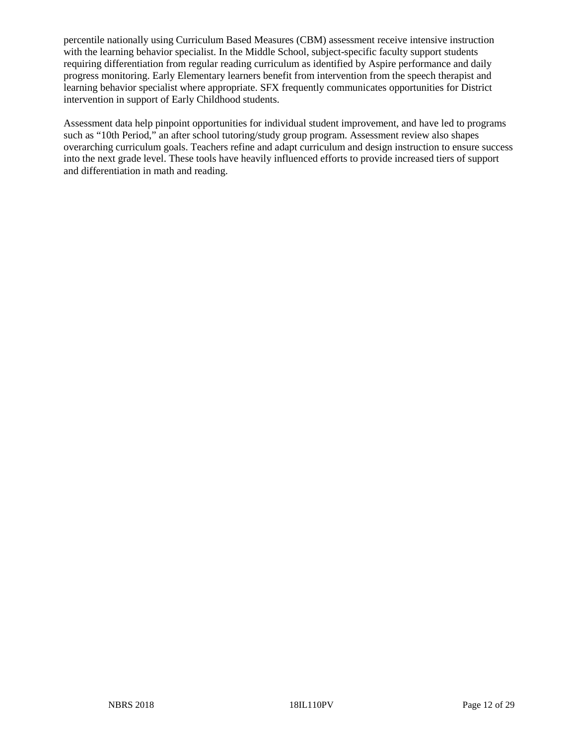percentile nationally using Curriculum Based Measures (CBM) assessment receive intensive instruction with the learning behavior specialist. In the Middle School, subject-specific faculty support students requiring differentiation from regular reading curriculum as identified by Aspire performance and daily progress monitoring. Early Elementary learners benefit from intervention from the speech therapist and learning behavior specialist where appropriate. SFX frequently communicates opportunities for District intervention in support of Early Childhood students.

Assessment data help pinpoint opportunities for individual student improvement, and have led to programs such as "10th Period," an after school tutoring/study group program. Assessment review also shapes overarching curriculum goals. Teachers refine and adapt curriculum and design instruction to ensure success into the next grade level. These tools have heavily influenced efforts to provide increased tiers of support and differentiation in math and reading.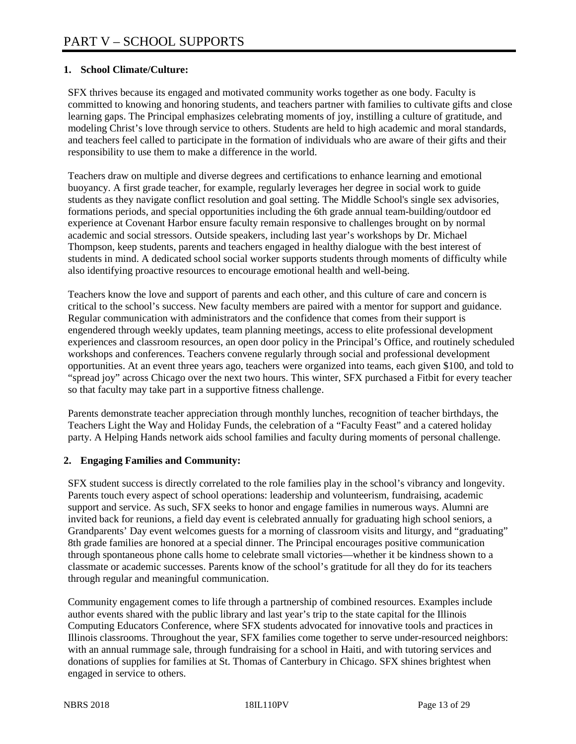#### **1. School Climate/Culture:**

SFX thrives because its engaged and motivated community works together as one body. Faculty is committed to knowing and honoring students, and teachers partner with families to cultivate gifts and close learning gaps. The Principal emphasizes celebrating moments of joy, instilling a culture of gratitude, and modeling Christ's love through service to others. Students are held to high academic and moral standards, and teachers feel called to participate in the formation of individuals who are aware of their gifts and their responsibility to use them to make a difference in the world.

Teachers draw on multiple and diverse degrees and certifications to enhance learning and emotional buoyancy. A first grade teacher, for example, regularly leverages her degree in social work to guide students as they navigate conflict resolution and goal setting. The Middle School's single sex advisories, formations periods, and special opportunities including the 6th grade annual team-building/outdoor ed experience at Covenant Harbor ensure faculty remain responsive to challenges brought on by normal academic and social stressors. Outside speakers, including last year's workshops by Dr. Michael Thompson, keep students, parents and teachers engaged in healthy dialogue with the best interest of students in mind. A dedicated school social worker supports students through moments of difficulty while also identifying proactive resources to encourage emotional health and well-being.

Teachers know the love and support of parents and each other, and this culture of care and concern is critical to the school's success. New faculty members are paired with a mentor for support and guidance. Regular communication with administrators and the confidence that comes from their support is engendered through weekly updates, team planning meetings, access to elite professional development experiences and classroom resources, an open door policy in the Principal's Office, and routinely scheduled workshops and conferences. Teachers convene regularly through social and professional development opportunities. At an event three years ago, teachers were organized into teams, each given \$100, and told to "spread joy" across Chicago over the next two hours. This winter, SFX purchased a Fitbit for every teacher so that faculty may take part in a supportive fitness challenge.

Parents demonstrate teacher appreciation through monthly lunches, recognition of teacher birthdays, the Teachers Light the Way and Holiday Funds, the celebration of a "Faculty Feast" and a catered holiday party. A Helping Hands network aids school families and faculty during moments of personal challenge.

#### **2. Engaging Families and Community:**

SFX student success is directly correlated to the role families play in the school's vibrancy and longevity. Parents touch every aspect of school operations: leadership and volunteerism, fundraising, academic support and service. As such, SFX seeks to honor and engage families in numerous ways. Alumni are invited back for reunions, a field day event is celebrated annually for graduating high school seniors, a Grandparents' Day event welcomes guests for a morning of classroom visits and liturgy, and "graduating" 8th grade families are honored at a special dinner. The Principal encourages positive communication through spontaneous phone calls home to celebrate small victories—whether it be kindness shown to a classmate or academic successes. Parents know of the school's gratitude for all they do for its teachers through regular and meaningful communication.

Community engagement comes to life through a partnership of combined resources. Examples include author events shared with the public library and last year's trip to the state capital for the Illinois Computing Educators Conference, where SFX students advocated for innovative tools and practices in Illinois classrooms. Throughout the year, SFX families come together to serve under-resourced neighbors: with an annual rummage sale, through fundraising for a school in Haiti, and with tutoring services and donations of supplies for families at St. Thomas of Canterbury in Chicago. SFX shines brightest when engaged in service to others.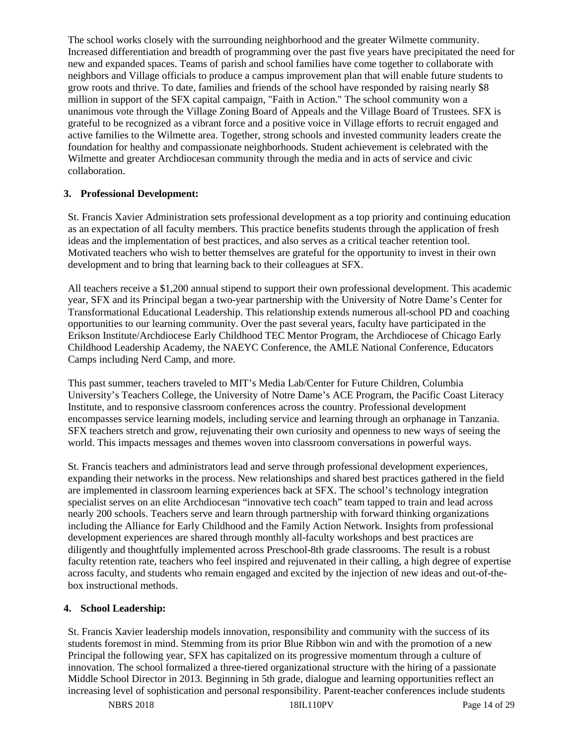The school works closely with the surrounding neighborhood and the greater Wilmette community. Increased differentiation and breadth of programming over the past five years have precipitated the need for new and expanded spaces. Teams of parish and school families have come together to collaborate with neighbors and Village officials to produce a campus improvement plan that will enable future students to grow roots and thrive. To date, families and friends of the school have responded by raising nearly \$8 million in support of the SFX capital campaign, "Faith in Action." The school community won a unanimous vote through the Village Zoning Board of Appeals and the Village Board of Trustees. SFX is grateful to be recognized as a vibrant force and a positive voice in Village efforts to recruit engaged and active families to the Wilmette area. Together, strong schools and invested community leaders create the foundation for healthy and compassionate neighborhoods. Student achievement is celebrated with the Wilmette and greater Archdiocesan community through the media and in acts of service and civic collaboration.

#### **3. Professional Development:**

St. Francis Xavier Administration sets professional development as a top priority and continuing education as an expectation of all faculty members. This practice benefits students through the application of fresh ideas and the implementation of best practices, and also serves as a critical teacher retention tool. Motivated teachers who wish to better themselves are grateful for the opportunity to invest in their own development and to bring that learning back to their colleagues at SFX.

All teachers receive a \$1,200 annual stipend to support their own professional development. This academic year, SFX and its Principal began a two-year partnership with the University of Notre Dame's Center for Transformational Educational Leadership. This relationship extends numerous all-school PD and coaching opportunities to our learning community. Over the past several years, faculty have participated in the Erikson Institute/Archdiocese Early Childhood TEC Mentor Program, the Archdiocese of Chicago Early Childhood Leadership Academy, the NAEYC Conference, the AMLE National Conference, Educators Camps including Nerd Camp, and more.

This past summer, teachers traveled to MIT's Media Lab/Center for Future Children, Columbia University's Teachers College, the University of Notre Dame's ACE Program, the Pacific Coast Literacy Institute, and to responsive classroom conferences across the country. Professional development encompasses service learning models, including service and learning through an orphanage in Tanzania. SFX teachers stretch and grow, rejuvenating their own curiosity and openness to new ways of seeing the world. This impacts messages and themes woven into classroom conversations in powerful ways.

St. Francis teachers and administrators lead and serve through professional development experiences, expanding their networks in the process. New relationships and shared best practices gathered in the field are implemented in classroom learning experiences back at SFX. The school's technology integration specialist serves on an elite Archdiocesan "innovative tech coach" team tapped to train and lead across nearly 200 schools. Teachers serve and learn through partnership with forward thinking organizations including the Alliance for Early Childhood and the Family Action Network. Insights from professional development experiences are shared through monthly all-faculty workshops and best practices are diligently and thoughtfully implemented across Preschool-8th grade classrooms. The result is a robust faculty retention rate, teachers who feel inspired and rejuvenated in their calling, a high degree of expertise across faculty, and students who remain engaged and excited by the injection of new ideas and out-of-thebox instructional methods.

#### **4. School Leadership:**

St. Francis Xavier leadership models innovation, responsibility and community with the success of its students foremost in mind. Stemming from its prior Blue Ribbon win and with the promotion of a new Principal the following year, SFX has capitalized on its progressive momentum through a culture of innovation. The school formalized a three-tiered organizational structure with the hiring of a passionate Middle School Director in 2013. Beginning in 5th grade, dialogue and learning opportunities reflect an increasing level of sophistication and personal responsibility. Parent-teacher conferences include students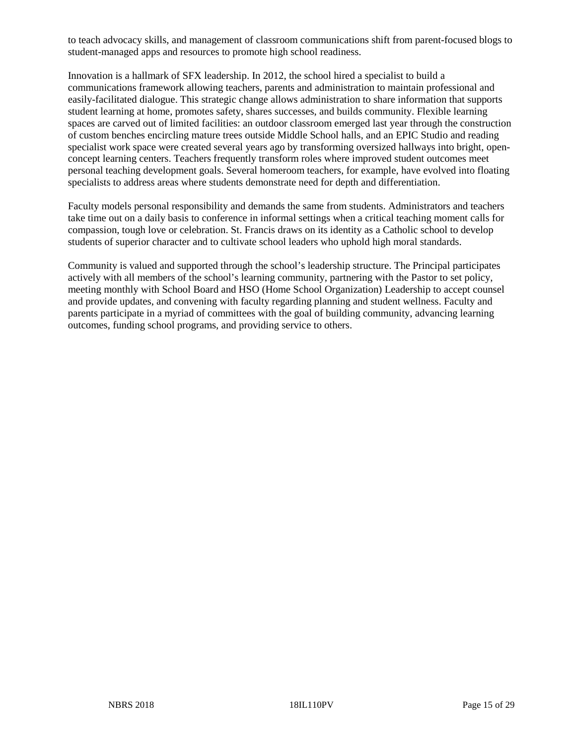to teach advocacy skills, and management of classroom communications shift from parent-focused blogs to student-managed apps and resources to promote high school readiness.

Innovation is a hallmark of SFX leadership. In 2012, the school hired a specialist to build a communications framework allowing teachers, parents and administration to maintain professional and easily-facilitated dialogue. This strategic change allows administration to share information that supports student learning at home, promotes safety, shares successes, and builds community. Flexible learning spaces are carved out of limited facilities: an outdoor classroom emerged last year through the construction of custom benches encircling mature trees outside Middle School halls, and an EPIC Studio and reading specialist work space were created several years ago by transforming oversized hallways into bright, openconcept learning centers. Teachers frequently transform roles where improved student outcomes meet personal teaching development goals. Several homeroom teachers, for example, have evolved into floating specialists to address areas where students demonstrate need for depth and differentiation.

Faculty models personal responsibility and demands the same from students. Administrators and teachers take time out on a daily basis to conference in informal settings when a critical teaching moment calls for compassion, tough love or celebration. St. Francis draws on its identity as a Catholic school to develop students of superior character and to cultivate school leaders who uphold high moral standards.

Community is valued and supported through the school's leadership structure. The Principal participates actively with all members of the school's learning community, partnering with the Pastor to set policy, meeting monthly with School Board and HSO (Home School Organization) Leadership to accept counsel and provide updates, and convening with faculty regarding planning and student wellness. Faculty and parents participate in a myriad of committees with the goal of building community, advancing learning outcomes, funding school programs, and providing service to others.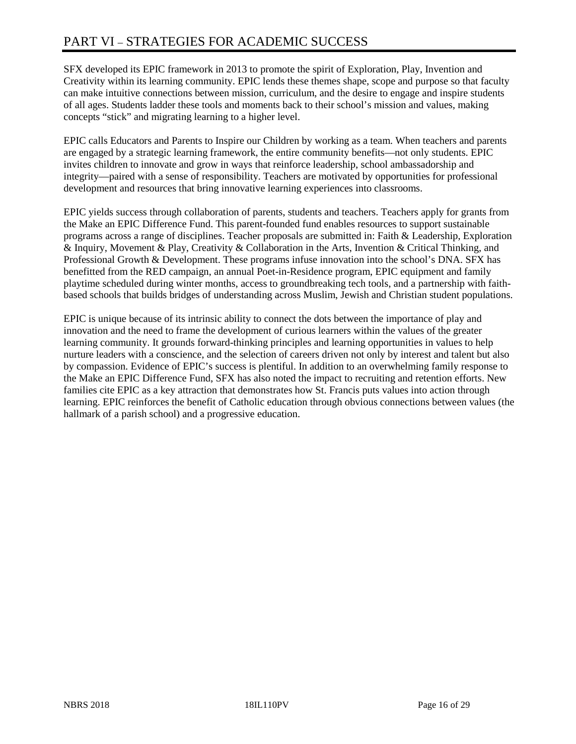SFX developed its EPIC framework in 2013 to promote the spirit of Exploration, Play, Invention and Creativity within its learning community. EPIC lends these themes shape, scope and purpose so that faculty can make intuitive connections between mission, curriculum, and the desire to engage and inspire students of all ages. Students ladder these tools and moments back to their school's mission and values, making concepts "stick" and migrating learning to a higher level.

EPIC calls Educators and Parents to Inspire our Children by working as a team. When teachers and parents are engaged by a strategic learning framework, the entire community benefits—not only students. EPIC invites children to innovate and grow in ways that reinforce leadership, school ambassadorship and integrity—paired with a sense of responsibility. Teachers are motivated by opportunities for professional development and resources that bring innovative learning experiences into classrooms.

EPIC yields success through collaboration of parents, students and teachers. Teachers apply for grants from the Make an EPIC Difference Fund. This parent-founded fund enables resources to support sustainable programs across a range of disciplines. Teacher proposals are submitted in: Faith & Leadership, Exploration & Inquiry, Movement & Play, Creativity & Collaboration in the Arts, Invention & Critical Thinking, and Professional Growth & Development. These programs infuse innovation into the school's DNA. SFX has benefitted from the RED campaign, an annual Poet-in-Residence program, EPIC equipment and family playtime scheduled during winter months, access to groundbreaking tech tools, and a partnership with faithbased schools that builds bridges of understanding across Muslim, Jewish and Christian student populations.

EPIC is unique because of its intrinsic ability to connect the dots between the importance of play and innovation and the need to frame the development of curious learners within the values of the greater learning community. It grounds forward-thinking principles and learning opportunities in values to help nurture leaders with a conscience, and the selection of careers driven not only by interest and talent but also by compassion. Evidence of EPIC's success is plentiful. In addition to an overwhelming family response to the Make an EPIC Difference Fund, SFX has also noted the impact to recruiting and retention efforts. New families cite EPIC as a key attraction that demonstrates how St. Francis puts values into action through learning. EPIC reinforces the benefit of Catholic education through obvious connections between values (the hallmark of a parish school) and a progressive education.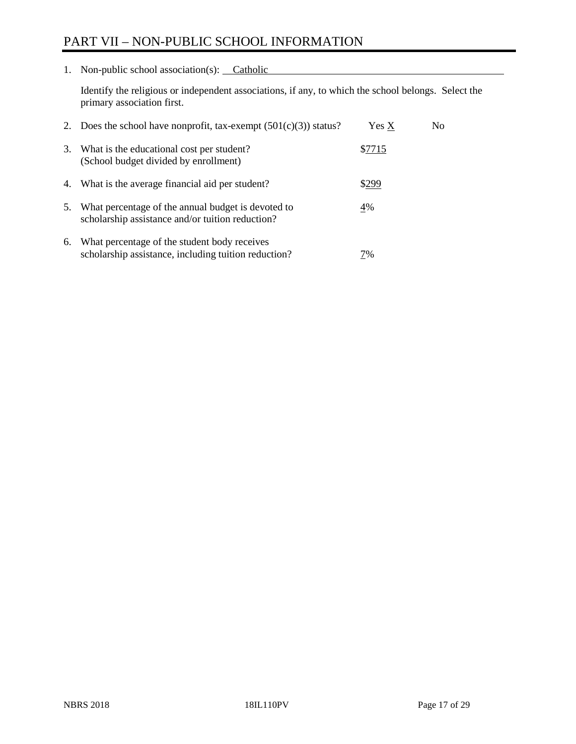# PART VII – NON-PUBLIC SCHOOL INFORMATION

1. Non-public school association(s): Catholic

Identify the religious or independent associations, if any, to which the school belongs. Select the primary association first.

| 2. | Does the school have nonprofit, tax-exempt $(501(c)(3))$ status?                                       | Yes X  | No. |
|----|--------------------------------------------------------------------------------------------------------|--------|-----|
| 3. | What is the educational cost per student?<br>(School budget divided by enrollment)                     | \$7715 |     |
| 4. | What is the average financial aid per student?                                                         | \$299  |     |
| 5. | What percentage of the annual budget is devoted to<br>scholarship assistance and/or tuition reduction? | 4%     |     |
| 6. | What percentage of the student body receives<br>scholarship assistance, including tuition reduction?   | 7%     |     |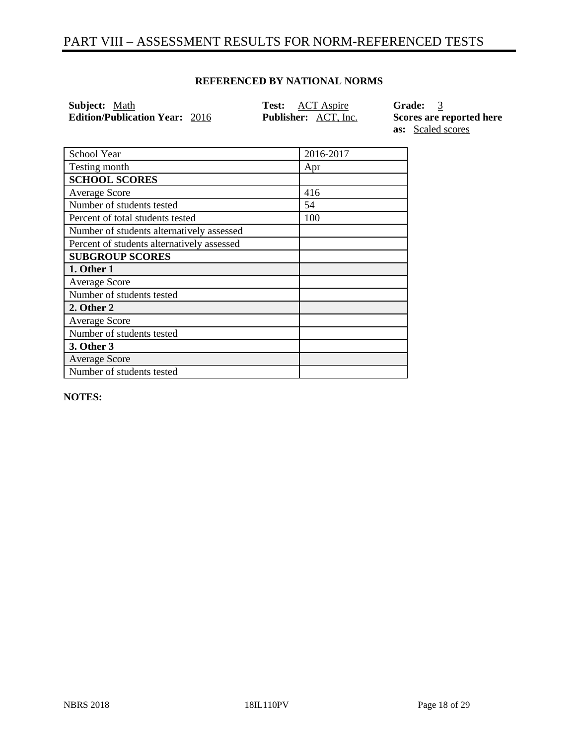# PART VIII – ASSESSMENT RESULTS FOR NORM-REFERENCED TESTS

#### **REFERENCED BY NATIONAL NORMS**

| <b>Subject:</b> Math                  | <b>Test:</b> ACT Aspire     | Grade: 3                 |
|---------------------------------------|-----------------------------|--------------------------|
| <b>Edition/Publication Year: 2016</b> | <b>Publisher:</b> ACT, Inc. | Scores are reported here |
|                                       |                             | <b>as:</b> Scaled scores |

| School Year                                | 2016-2017 |
|--------------------------------------------|-----------|
| Testing month                              | Apr       |
| <b>SCHOOL SCORES</b>                       |           |
| <b>Average Score</b>                       | 416       |
| Number of students tested                  | 54        |
| Percent of total students tested           | 100       |
| Number of students alternatively assessed  |           |
| Percent of students alternatively assessed |           |
| <b>SUBGROUP SCORES</b>                     |           |
| 1. Other 1                                 |           |
| <b>Average Score</b>                       |           |
|                                            |           |
| Number of students tested                  |           |
| 2. Other 2                                 |           |
| <b>Average Score</b>                       |           |
| Number of students tested                  |           |
| 3. Other 3                                 |           |
| <b>Average Score</b>                       |           |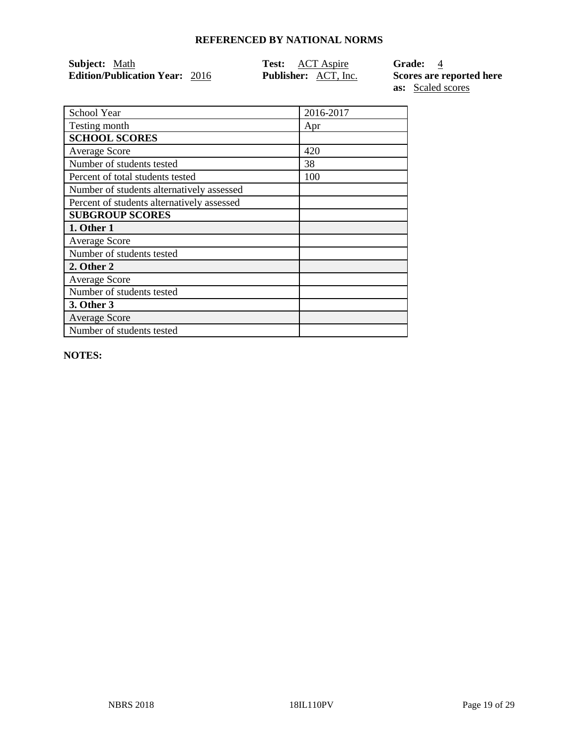| <b>Subject:</b> Math                  | <b>Test:</b> ACT Aspire     | <b>Grade:</b> 4          |
|---------------------------------------|-----------------------------|--------------------------|
| <b>Edition/Publication Year: 2016</b> | <b>Publisher:</b> ACT, Inc. | Scores are reported here |
|                                       |                             | <b>as:</b> Scaled scores |

| School Year                                | 2016-2017 |
|--------------------------------------------|-----------|
| Testing month                              | Apr       |
| <b>SCHOOL SCORES</b>                       |           |
| <b>Average Score</b>                       | 420       |
| Number of students tested                  | 38        |
| Percent of total students tested           | 100       |
| Number of students alternatively assessed  |           |
| Percent of students alternatively assessed |           |
| <b>SUBGROUP SCORES</b>                     |           |
| 1. Other 1                                 |           |
| <b>Average Score</b>                       |           |
| Number of students tested                  |           |
| 2. Other 2                                 |           |
| <b>Average Score</b>                       |           |
| Number of students tested                  |           |
| 3. Other 3                                 |           |
| <b>Average Score</b>                       |           |

**NOTES:** 

Number of students tested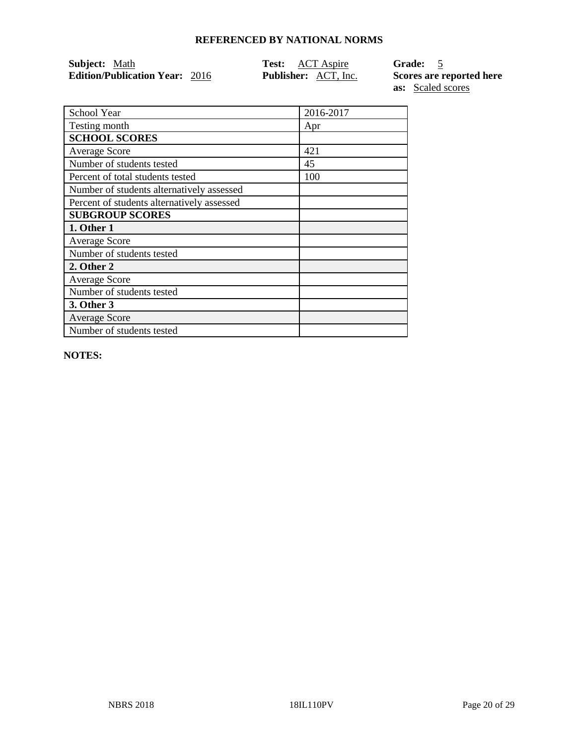| <b>Subject:</b> Math                  | <b>Test:</b> ACT Aspire     | <b>Grade:</b>            |
|---------------------------------------|-----------------------------|--------------------------|
| <b>Edition/Publication Year: 2016</b> | <b>Publisher:</b> ACT, Inc. | Scores are reported here |
|                                       |                             | <b>as:</b> Scaled scores |

School Year 2016-2017 Testing month Apr **SCHOOL SCORES** Average Score 421 Number of students tested 45 Percent of total students tested 100 Number of students alternatively assessed Percent of students alternatively assessed **SUBGROUP SCORES 1. Other 1** Average Score Number of students tested **2. Other 2** Average Score Number of students tested **3. Other 3** Average Score Number of students tested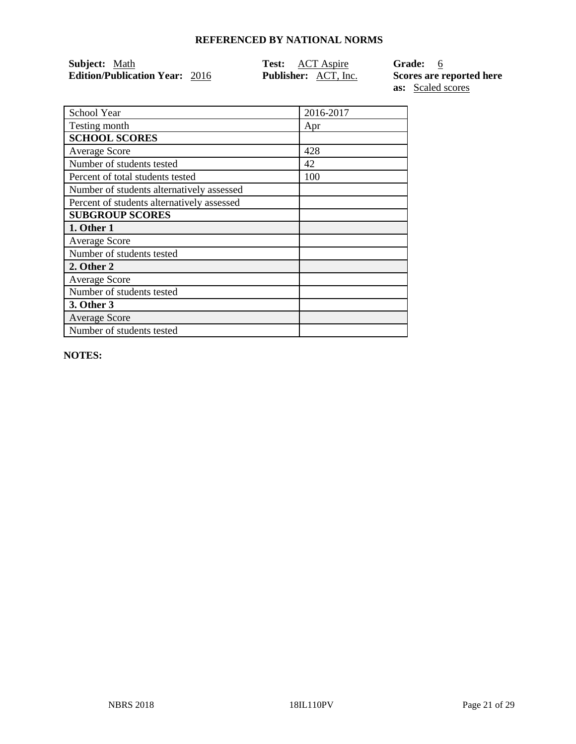| <b>Subject:</b> Math                  | <b>Test:</b> ACT Aspire     | Grade: 6                 |
|---------------------------------------|-----------------------------|--------------------------|
| <b>Edition/Publication Year: 2016</b> | <b>Publisher:</b> ACT, Inc. | Scores are reported here |
|                                       |                             | <b>as:</b> Scaled scores |

School Year 2016-2017 Testing month Apr **SCHOOL SCORES** Average Score 428 Number of students tested 42 Percent of total students tested 100 Number of students alternatively assessed Percent of students alternatively assessed **SUBGROUP SCORES 1. Other 1** Average Score Number of students tested **2. Other 2** Average Score Number of students tested **3. Other 3** Average Score

**NOTES:** 

Number of students tested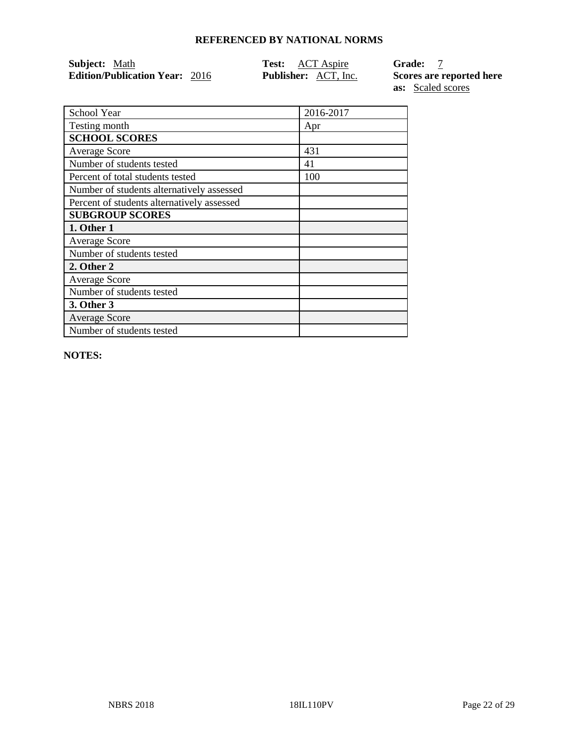| <b>Subject:</b> Math                  | <b>Test:</b> ACT Aspire     | <b>Grade:</b>            |
|---------------------------------------|-----------------------------|--------------------------|
| <b>Edition/Publication Year: 2016</b> | <b>Publisher:</b> ACT, Inc. | Scores are reported here |
|                                       |                             | <b>as:</b> Scaled scores |

| School Year                                | 2016-2017 |
|--------------------------------------------|-----------|
| Testing month                              | Apr       |
| <b>SCHOOL SCORES</b>                       |           |
| <b>Average Score</b>                       | 431       |
| Number of students tested                  | 41        |
| Percent of total students tested           | 100       |
| Number of students alternatively assessed  |           |
| Percent of students alternatively assessed |           |
| <b>SUBGROUP SCORES</b>                     |           |
| 1. Other 1                                 |           |
| <b>Average Score</b>                       |           |
| Number of students tested                  |           |
| 2. Other 2                                 |           |
| <b>Average Score</b>                       |           |
| Number of students tested                  |           |
| 3. Other 3                                 |           |
| <b>Average Score</b>                       |           |
| Number of students tested                  |           |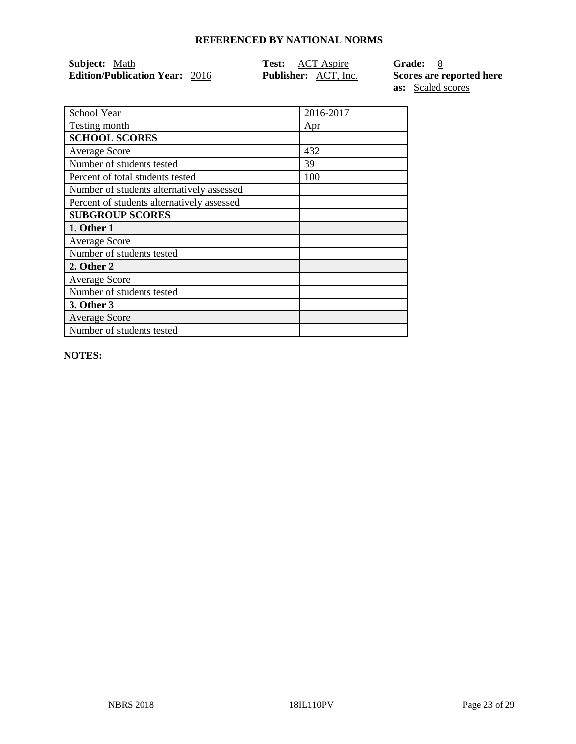| <b>Subject:</b> Math                  | <b>Test:</b> ACT Aspire     | Grade: 8                 |
|---------------------------------------|-----------------------------|--------------------------|
| <b>Edition/Publication Year: 2016</b> | <b>Publisher:</b> ACT, Inc. | Scores are reported here |
|                                       |                             | <b>as:</b> Scaled scores |

| School Year                                | 2016-2017 |
|--------------------------------------------|-----------|
| Testing month                              | Apr       |
| <b>SCHOOL SCORES</b>                       |           |
| <b>Average Score</b>                       | 432       |
| Number of students tested                  | 39        |
| Percent of total students tested           | 100       |
| Number of students alternatively assessed  |           |
| Percent of students alternatively assessed |           |
| <b>SUBGROUP SCORES</b>                     |           |
| 1. Other 1                                 |           |
| <b>Average Score</b>                       |           |
| Number of students tested                  |           |
| 2. Other 2                                 |           |
| <b>Average Score</b>                       |           |
| Number of students tested                  |           |
| 3. Other 3                                 |           |
| <b>Average Score</b>                       |           |
| Number of students tested                  |           |
|                                            |           |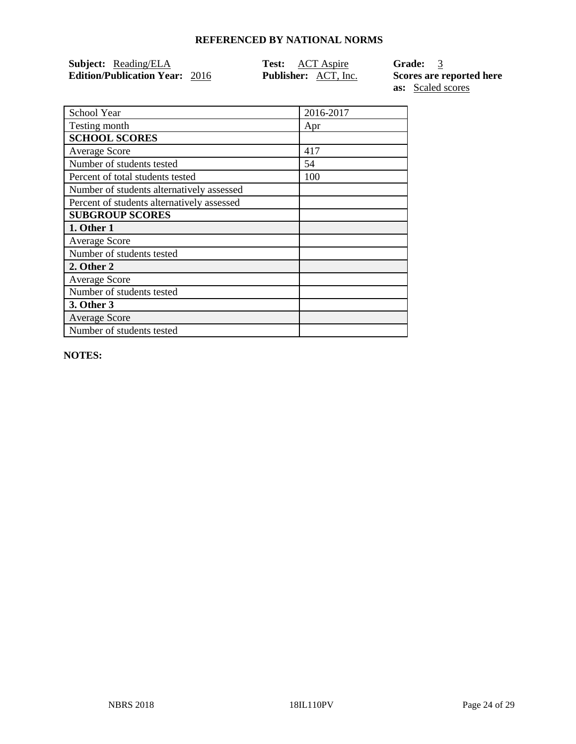| <b>Subject:</b> Reading/ELA           | <b>Test:</b> ACT Aspire     | Grade: 3                 |
|---------------------------------------|-----------------------------|--------------------------|
| <b>Edition/Publication Year: 2016</b> | <b>Publisher:</b> ACT, Inc. | Scores are reported here |

|                                            |           | as: | Scaled scores |
|--------------------------------------------|-----------|-----|---------------|
|                                            |           |     |               |
| School Year                                | 2016-2017 |     |               |
| Testing month                              | Apr       |     |               |
| <b>SCHOOL SCORES</b>                       |           |     |               |
| <b>Average Score</b>                       | 417       |     |               |
| Number of students tested                  | 54        |     |               |
| Percent of total students tested           | 100       |     |               |
| Number of students alternatively assessed  |           |     |               |
| Percent of students alternatively assessed |           |     |               |
| <b>SUBGROUP SCORES</b>                     |           |     |               |
| 1. Other 1                                 |           |     |               |
| Average Score                              |           |     |               |

**NOTES:** 

**1. Other 1** Average Score

**2. Other 2** Average Score

**3. Other 3** Average Score

Number of students tested

Number of students tested

Number of students tested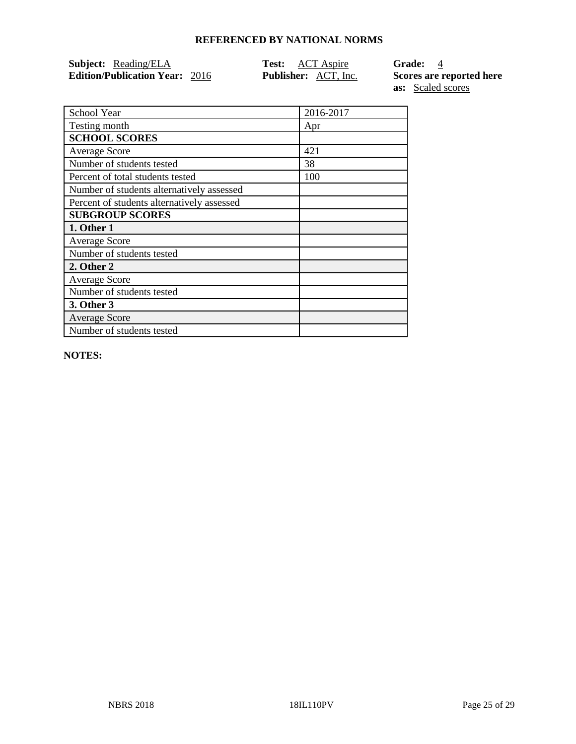| <b>Subject:</b> Reading/ELA           | <b>Test:</b> ACT Aspire     | <b>Grade:</b> 4          |
|---------------------------------------|-----------------------------|--------------------------|
| <b>Edition/Publication Year: 2016</b> | <b>Publisher:</b> ACT, Inc. | Scores are reported here |
|                                       |                             | <b>as:</b> Scaled scores |

|                                            |           | as.<br>Scaled S |
|--------------------------------------------|-----------|-----------------|
| School Year                                | 2016-2017 |                 |
| Testing month                              | Apr       |                 |
| <b>SCHOOL SCORES</b>                       |           |                 |
| <b>Average Score</b>                       | 421       |                 |
| Number of students tested                  | 38        |                 |
| Percent of total students tested           | 100       |                 |
| Number of students alternatively assessed  |           |                 |
| Percent of students alternatively assessed |           |                 |
| <b>SUBGROUP SCORES</b>                     |           |                 |
| 1. Other 1                                 |           |                 |
| $\Lambda$ romage $\Gamma$ come             |           |                 |

**NOTES:** 

**1. Other 1** Average Score

**2. Other 2** Average Score

**3. Other 3** Average Score

Number of students tested

Number of students tested

Number of students tested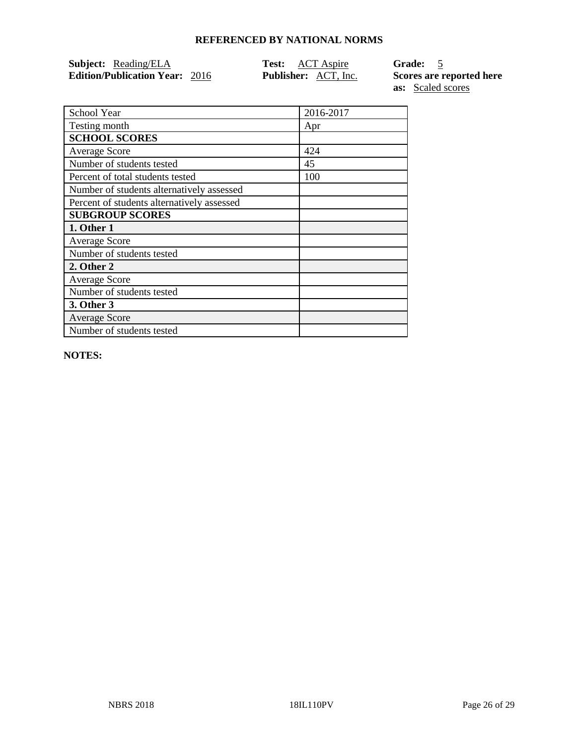| <b>Subject:</b> Reading/ELA           | <b>Test:</b> ACT Aspire     | Grade: 5                 |
|---------------------------------------|-----------------------------|--------------------------|
| <b>Edition/Publication Year: 2016</b> | <b>Publisher:</b> ACT, Inc. | Scores are reported here |
|                                       |                             | <b>as:</b> Scaled scores |

| 2016-2017 |
|-----------|
| Apr       |
|           |
| 424       |
| 45        |
| 100       |
|           |
|           |
|           |
|           |
|           |
|           |
|           |
|           |
|           |
|           |
|           |
|           |
|           |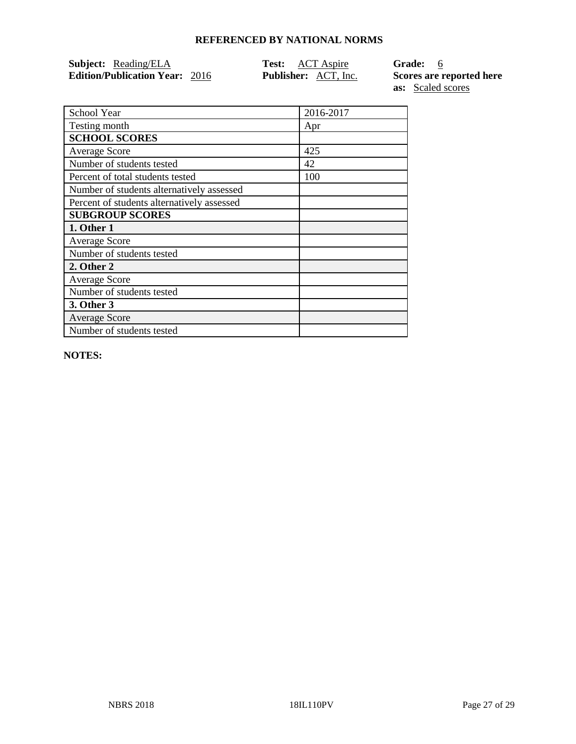| <b>Subject:</b> Reading/ELA           | <b>Test:</b> ACT Aspire     | Grade: 6                 |
|---------------------------------------|-----------------------------|--------------------------|
| <b>Edition/Publication Year: 2016</b> | <b>Publisher:</b> ACT, Inc. | Scores are reported here |

**as:** Scaled scores School Year 2016-2017

| Testing month                              | Apr |
|--------------------------------------------|-----|
| <b>SCHOOL SCORES</b>                       |     |
| Average Score                              | 425 |
| Number of students tested                  | 42  |
| Percent of total students tested           | 100 |
| Number of students alternatively assessed  |     |
| Percent of students alternatively assessed |     |
| <b>SUBGROUP SCORES</b>                     |     |
| 1. Other 1                                 |     |
| <b>Average Score</b>                       |     |
| Number of students tested                  |     |
| 2. Other 2                                 |     |
| <b>Average Score</b>                       |     |
| Number of students tested                  |     |
| 3. Other 3                                 |     |
| <b>Average Score</b>                       |     |
| Number of students tested                  |     |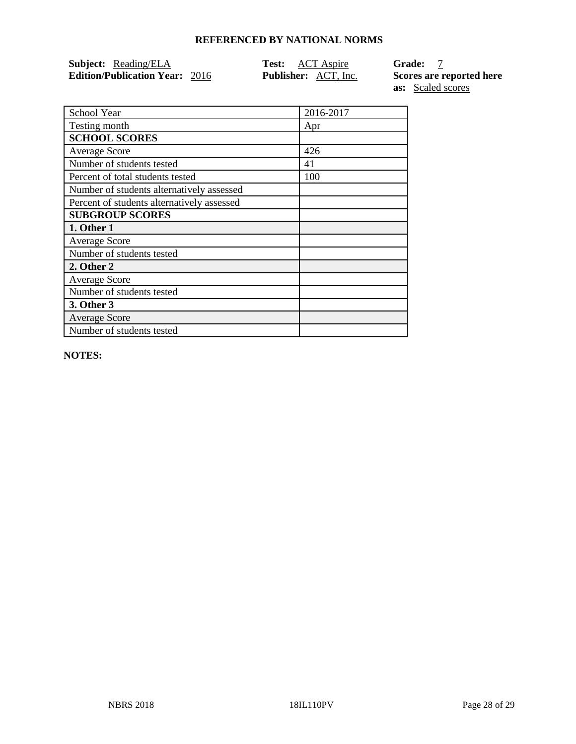| <b>Subject:</b> Reading/ELA           | <b>Test:</b> ACT Aspire     | <b>Grade:</b>            |
|---------------------------------------|-----------------------------|--------------------------|
| <b>Edition/Publication Year: 2016</b> | <b>Publisher:</b> ACT, Inc. | Scores are reported here |

| <b>Euron's abheauon Teal:</b> 2010 | $1$ upmonent, $11C1$ , $11C$ . | $DCO$ and $DCO$ and $DCO$ |
|------------------------------------|--------------------------------|---------------------------|
|                                    |                                | as: Scaled scores         |
|                                    |                                |                           |
| School Year                        | 2016-2017                      |                           |
| Testing month                      | Apr                            |                           |
| <b>SCHOOL SCORES</b>               |                                |                           |
| <b>Average Score</b>               | 426                            |                           |
| Number of students tested          | 41                             |                           |

| Testing month                              | Apr |
|--------------------------------------------|-----|
| <b>SCHOOL SCORES</b>                       |     |
| <b>Average Score</b>                       | 426 |
| Number of students tested                  | 41  |
| Percent of total students tested           | 100 |
| Number of students alternatively assessed  |     |
| Percent of students alternatively assessed |     |
| <b>SUBGROUP SCORES</b>                     |     |
| 1. Other 1                                 |     |
| <b>Average Score</b>                       |     |
| Number of students tested                  |     |
| 2. Other 2                                 |     |
| <b>Average Score</b>                       |     |
| Number of students tested                  |     |
| 3. Other 3                                 |     |
| <b>Average Score</b>                       |     |
| Number of students tested                  |     |